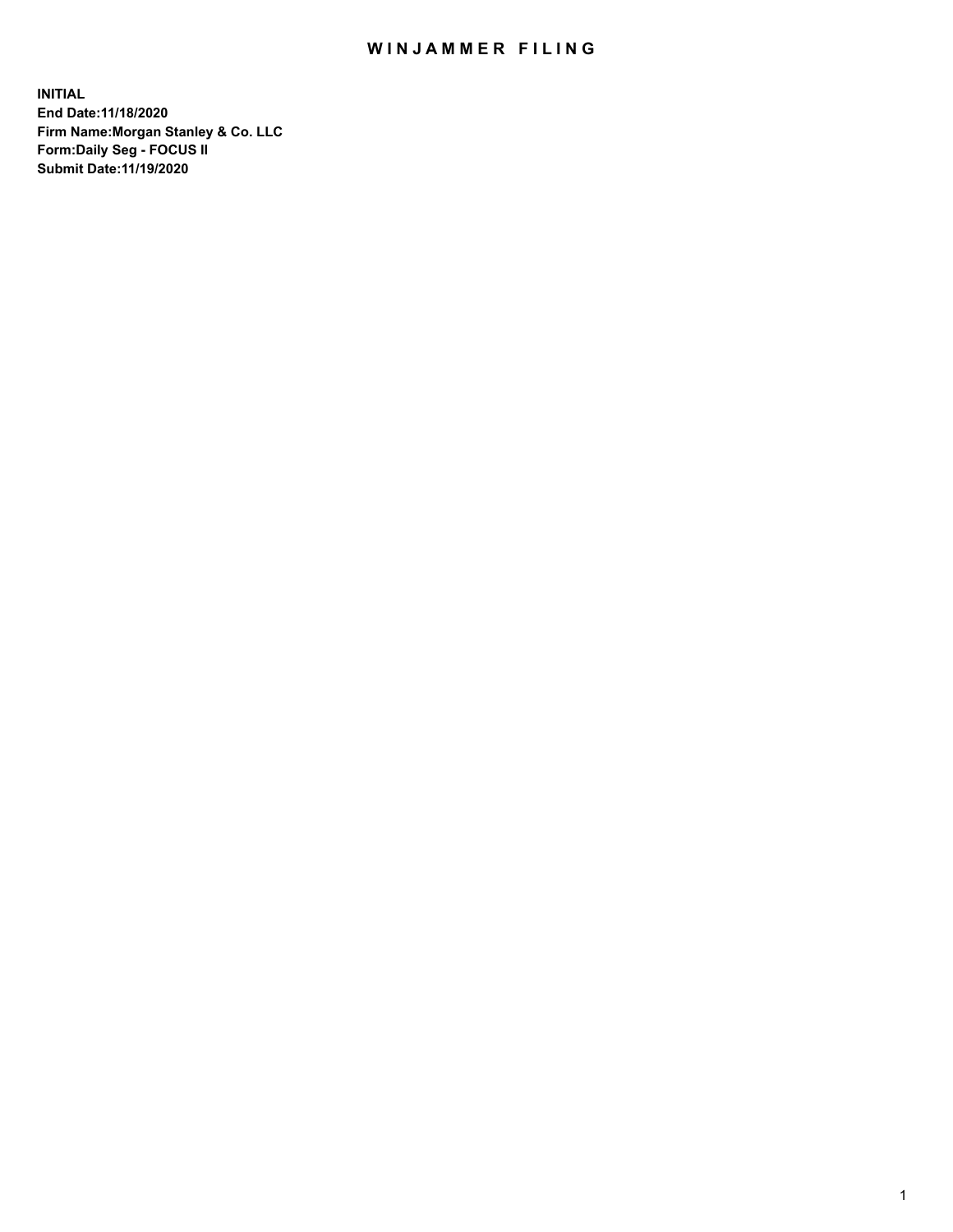## WIN JAMMER FILING

**INITIAL End Date:11/18/2020 Firm Name:Morgan Stanley & Co. LLC Form:Daily Seg - FOCUS II Submit Date:11/19/2020**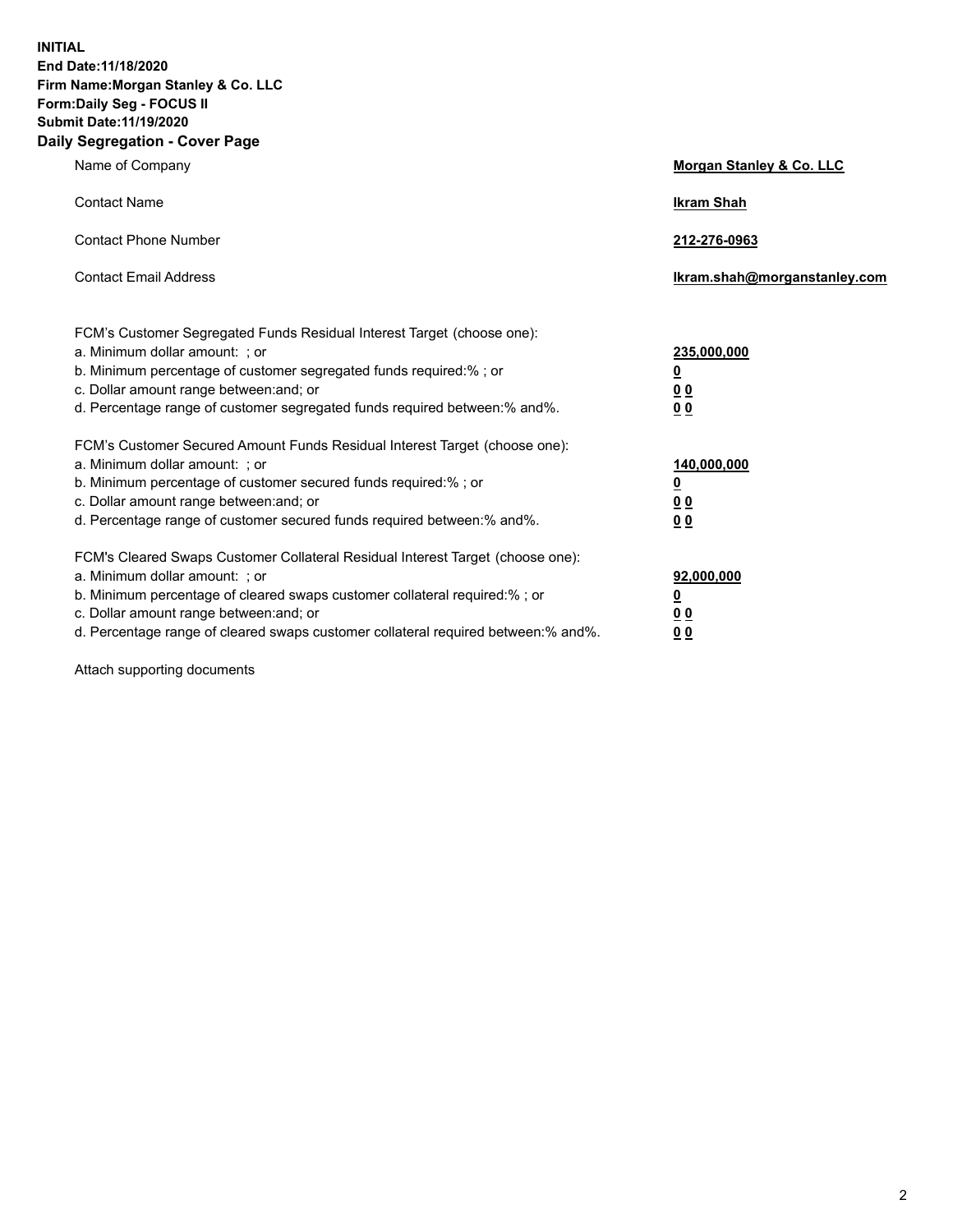**INITIAL End Date:11/18/2020 Firm Name:Morgan Stanley & Co. LLC Form:Daily Seg - FOCUS II Submit Date:11/19/2020 Daily Segregation - Cover Page**

| Name of Company                                                                                                                                                                                                                                                                                                                | Morgan Stanley & Co. LLC                               |
|--------------------------------------------------------------------------------------------------------------------------------------------------------------------------------------------------------------------------------------------------------------------------------------------------------------------------------|--------------------------------------------------------|
| <b>Contact Name</b>                                                                                                                                                                                                                                                                                                            | <b>Ikram Shah</b>                                      |
| <b>Contact Phone Number</b>                                                                                                                                                                                                                                                                                                    | 212-276-0963                                           |
| <b>Contact Email Address</b>                                                                                                                                                                                                                                                                                                   | Ikram.shah@morganstanley.com                           |
| FCM's Customer Segregated Funds Residual Interest Target (choose one):<br>a. Minimum dollar amount: ; or<br>b. Minimum percentage of customer segregated funds required:% ; or<br>c. Dollar amount range between: and; or<br>d. Percentage range of customer segregated funds required between:% and%.                         | 235,000,000<br><u>0</u><br>0 <sup>0</sup><br><u>00</u> |
| FCM's Customer Secured Amount Funds Residual Interest Target (choose one):<br>a. Minimum dollar amount: ; or<br>b. Minimum percentage of customer secured funds required:% ; or<br>c. Dollar amount range between: and; or<br>d. Percentage range of customer secured funds required between:% and%.                           | 140,000,000<br><u>0</u><br><u>00</u><br>00             |
| FCM's Cleared Swaps Customer Collateral Residual Interest Target (choose one):<br>a. Minimum dollar amount: ; or<br>b. Minimum percentage of cleared swaps customer collateral required:% ; or<br>c. Dollar amount range between: and; or<br>d. Percentage range of cleared swaps customer collateral required between:% and%. | 92,000,000<br><u>0</u><br><u>00</u><br>00              |

Attach supporting documents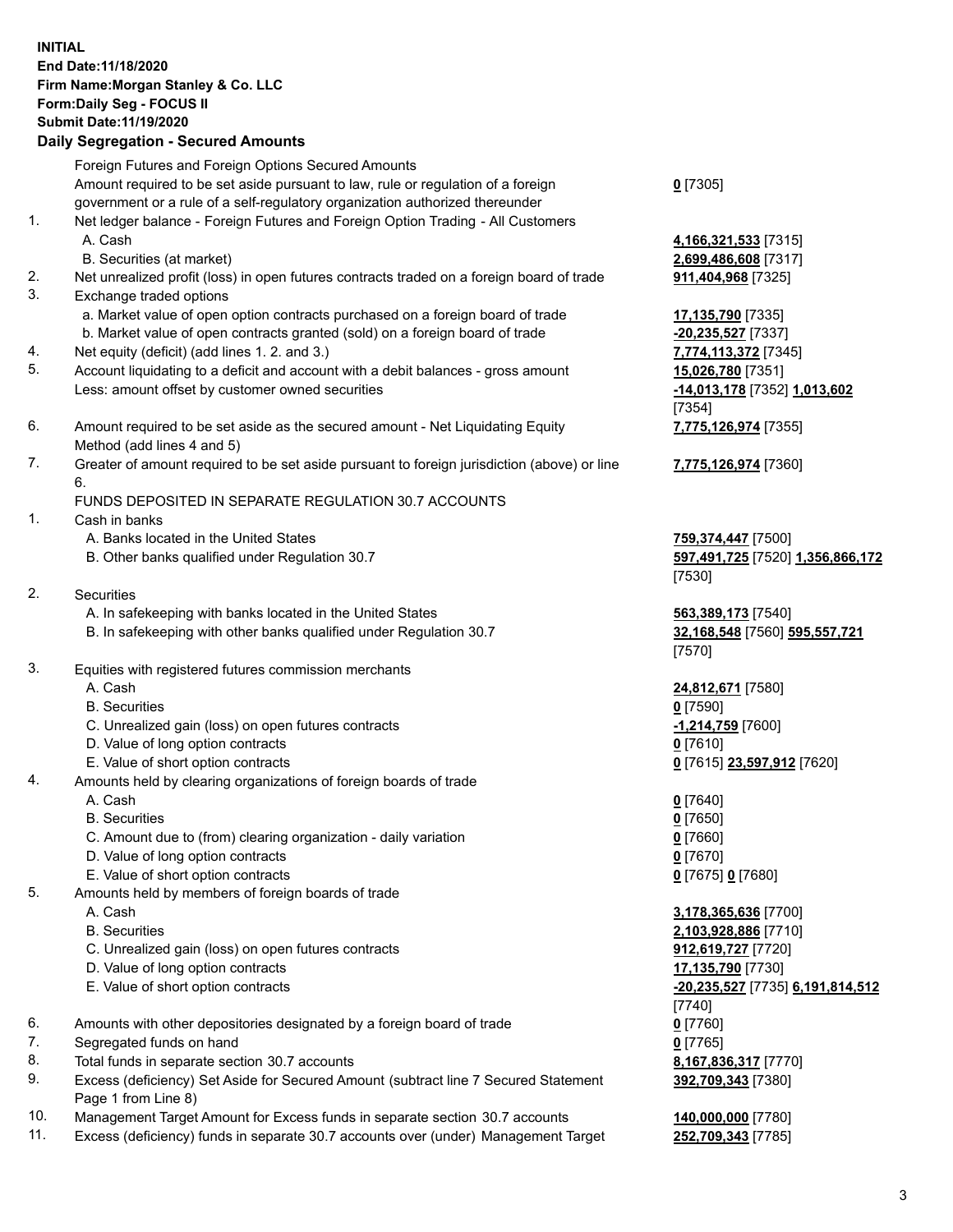## **INITIAL End Date:11/18/2020 Firm Name:Morgan Stanley & Co. LLC Form:Daily Seg - FOCUS II Submit Date:11/19/2020 Daily Segregation - Secured Amounts**

Foreign Futures and Foreign Options Secured Amounts Amount required to be set aside pursuant to law, rule or regulation of a foreign government or a rule of a self-regulatory organization authorized thereunder 1. Net ledger balance - Foreign Futures and Foreign Option Trading - All Customers A. Cash **4,166,321,533** [7315] B. Securities (at market) **2,699,486,608** [7317] 2. Net unrealized profit (loss) in open futures contracts traded on a foreign board of trade **911,404,968** [7325] 3. Exchange traded options a. Market value of open option contracts purchased on a foreign board of trade **17,135,790** [7335] b. Market value of open contracts granted (sold) on a foreign board of trade **-20,235,527** [7337] 4. Net equity (deficit) (add lines 1. 2. and 3.) **7,774,113,372** [7345] 5. Account liquidating to a deficit and account with a debit balances - gross amount **15,026,780** [7351] Less: amount offset by customer owned securities **-14,013,178** [7352] **1,013,602** 6. Amount required to be set aside as the secured amount - Net Liquidating Equity Method (add lines 4 and 5) 7. Greater of amount required to be set aside pursuant to foreign jurisdiction (above) or line 6. FUNDS DEPOSITED IN SEPARATE REGULATION 30.7 ACCOUNTS 1. Cash in banks A. Banks located in the United States **759,374,447** [7500] B. Other banks qualified under Regulation 30.7 **597,491,725** [7520] **1,356,866,172** 2. Securities A. In safekeeping with banks located in the United States **563,389,173** [7540] B. In safekeeping with other banks qualified under Regulation 30.7 **32,168,548** [7560] **595,557,721** 3. Equities with registered futures commission merchants A. Cash **24,812,671** [7580] B. Securities **0** [7590] C. Unrealized gain (loss) on open futures contracts **-1,214,759** [7600] D. Value of long option contracts **0** [7610] E. Value of short option contracts **0** [7615] **23,597,912** [7620] 4. Amounts held by clearing organizations of foreign boards of trade A. Cash **0** [7640] B. Securities **0** [7650] C. Amount due to (from) clearing organization - daily variation **0** [7660] D. Value of long option contracts **0** [7670] E. Value of short option contracts **0** [7675] **0** [7680] 5. Amounts held by members of foreign boards of trade A. Cash **3,178,365,636** [7700]

- 
- 
- C. Unrealized gain (loss) on open futures contracts **912,619,727** [7720]
- D. Value of long option contracts **17,135,790** [7730]
- E. Value of short option contracts **-20,235,527** [7735] **6,191,814,512**
- 6. Amounts with other depositories designated by a foreign board of trade **0** [7760]
- 7. Segregated funds on hand **0** [7765]
- 8. Total funds in separate section 30.7 accounts **8,167,836,317** [7770]
- 9. Excess (deficiency) Set Aside for Secured Amount (subtract line 7 Secured Statement Page 1 from Line 8)
- 10. Management Target Amount for Excess funds in separate section 30.7 accounts **140,000,000** [7780]
- 11. Excess (deficiency) funds in separate 30.7 accounts over (under) Management Target **252,709,343** [7785]

**0** [7305]

[7354] **7,775,126,974** [7355]

**7,775,126,974** [7360]

[7530]

[7570]

 B. Securities **2,103,928,886** [7710] [7740] **392,709,343** [7380]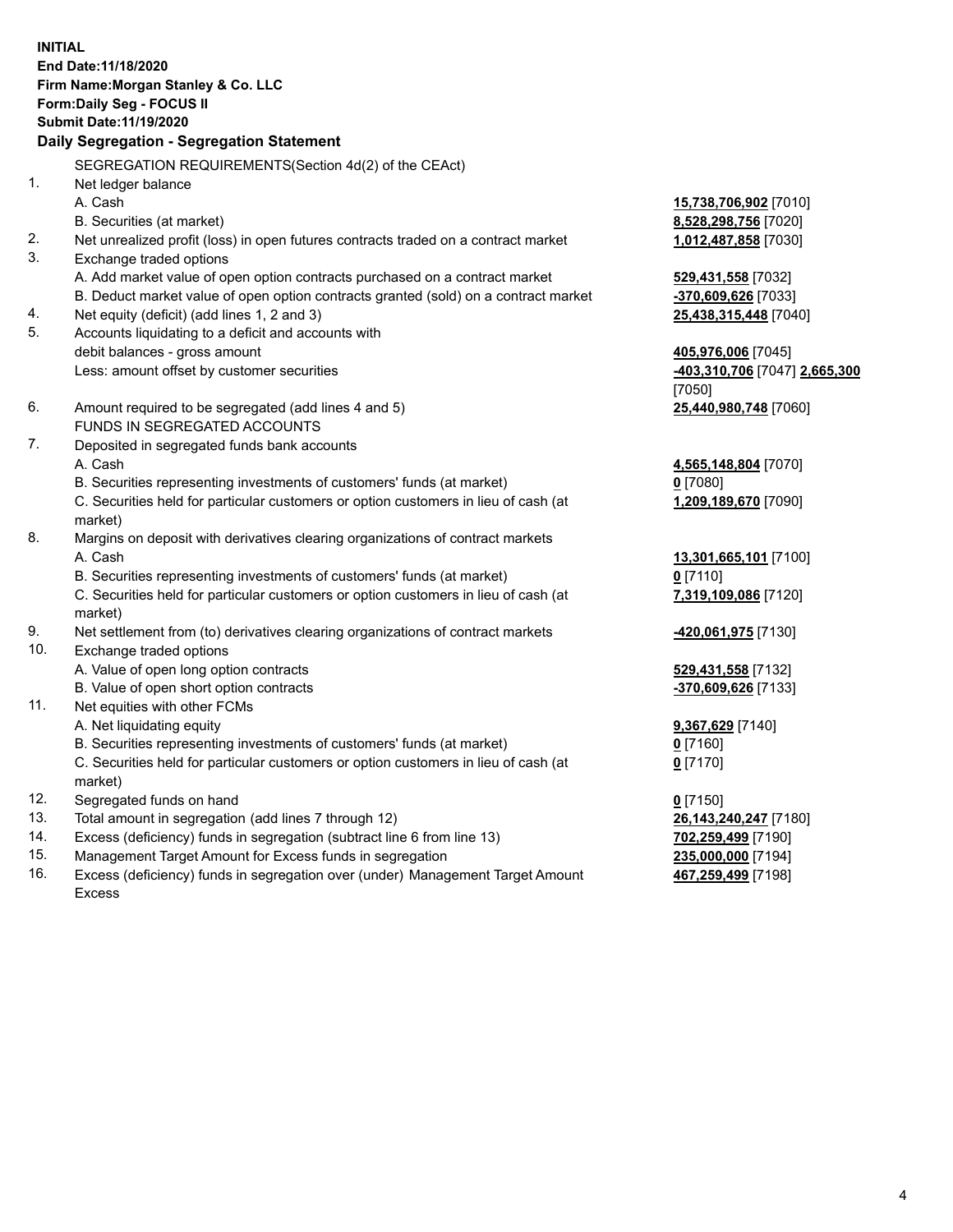**INITIAL End Date:11/18/2020 Firm Name:Morgan Stanley & Co. LLC Form:Daily Seg - FOCUS II Submit Date:11/19/2020 Daily Segregation - Segregation Statement** SEGREGATION REQUIREMENTS(Section 4d(2) of the CEAct) 1. Net ledger balance A. Cash **15,738,706,902** [7010] B. Securities (at market) **8,528,298,756** [7020] 2. Net unrealized profit (loss) in open futures contracts traded on a contract market **1,012,487,858** [7030] 3. Exchange traded options A. Add market value of open option contracts purchased on a contract market **529,431,558** [7032] B. Deduct market value of open option contracts granted (sold) on a contract market **-370,609,626** [7033] 4. Net equity (deficit) (add lines 1, 2 and 3) **25,438,315,448** [7040] 5. Accounts liquidating to a deficit and accounts with debit balances - gross amount **405,976,006** [7045] Less: amount offset by customer securities **-403,310,706** [7047] **2,665,300** [7050] 6. Amount required to be segregated (add lines 4 and 5) **25,440,980,748** [7060] FUNDS IN SEGREGATED ACCOUNTS 7. Deposited in segregated funds bank accounts A. Cash **4,565,148,804** [7070] B. Securities representing investments of customers' funds (at market) **0** [7080] C. Securities held for particular customers or option customers in lieu of cash (at market) **1,209,189,670** [7090] 8. Margins on deposit with derivatives clearing organizations of contract markets A. Cash **13,301,665,101** [7100] B. Securities representing investments of customers' funds (at market) **0** [7110] C. Securities held for particular customers or option customers in lieu of cash (at market) **7,319,109,086** [7120] 9. Net settlement from (to) derivatives clearing organizations of contract markets **-420,061,975** [7130] 10. Exchange traded options A. Value of open long option contracts **529,431,558** [7132] B. Value of open short option contracts **-370,609,626** [7133] 11. Net equities with other FCMs A. Net liquidating equity **9,367,629** [7140] B. Securities representing investments of customers' funds (at market) **0** [7160] C. Securities held for particular customers or option customers in lieu of cash (at market) **0** [7170] 12. Segregated funds on hand **0** [7150] 13. Total amount in segregation (add lines 7 through 12) **26,143,240,247** [7180] 14. Excess (deficiency) funds in segregation (subtract line 6 from line 13) **702,259,499** [7190]

- 15. Management Target Amount for Excess funds in segregation **235,000,000** [7194]
- 16. Excess (deficiency) funds in segregation over (under) Management Target Amount Excess

**467,259,499** [7198]